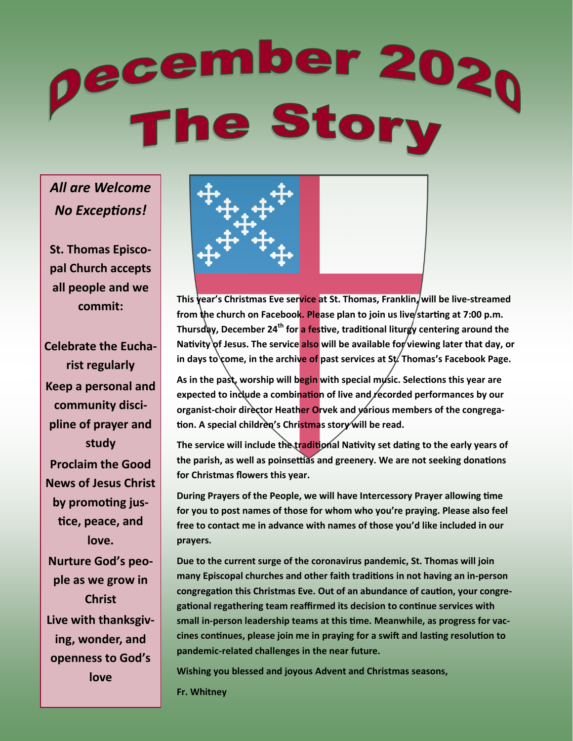# ecember 202<sub>0</sub><br>The Story

# *All are Welcome No Exceptions!*

**St. Thomas Episcopal Church accepts all people and we commit:**

**Celebrate the Eucharist regularly Keep a personal and community discipline of prayer and study Proclaim the Good News of Jesus Christ by promoting justice, peace, and love. Nurture God's people as we grow in Christ Live with thanksgiving, wonder, and openness to God's love**



**This year's Christmas Eve service at St. Thomas, Franklin, will be live-streamed**  from the church on Facebook. Please plan to join us live/starting at 7:00 p.m. **Thursday, December 24th for a festive, traditional liturgy centering around the**  Nativity of Jesus. The service also will be available for viewing later that day, or in days to come, in the archive of past services at St. Thomas's Facebook Page.

**As in the past, worship will begin with special music. Selections this year are**  expected to include a combination of live and recorded performances by our organist-choir director Heather Orvek and various members of the congrega**tion. A special children's Christmas story will be read.**

The service will include the traditional Nativity set dating to the early years of **the parish, as well as poinsettias and greenery. We are not seeking donations for Christmas flowers this year.**

**During Prayers of the People, we will have Intercessory Prayer allowing time for you to post names of those for whom who you're praying. Please also feel free to contact me in advance with names of those you'd like included in our prayers.**

**Due to the current surge of the coronavirus pandemic, St. Thomas will join many Episcopal churches and other faith traditions in not having an in-person congregation this Christmas Eve. Out of an abundance of caution, your congregational regathering team reaffirmed its decision to continue services with small in-person leadership teams at this time. Meanwhile, as progress for vaccines continues, please join me in praying for a swift and lasting resolution to pandemic-related challenges in the near future.**

**Wishing you blessed and joyous Advent and Christmas seasons,**

**Fr. Whitney**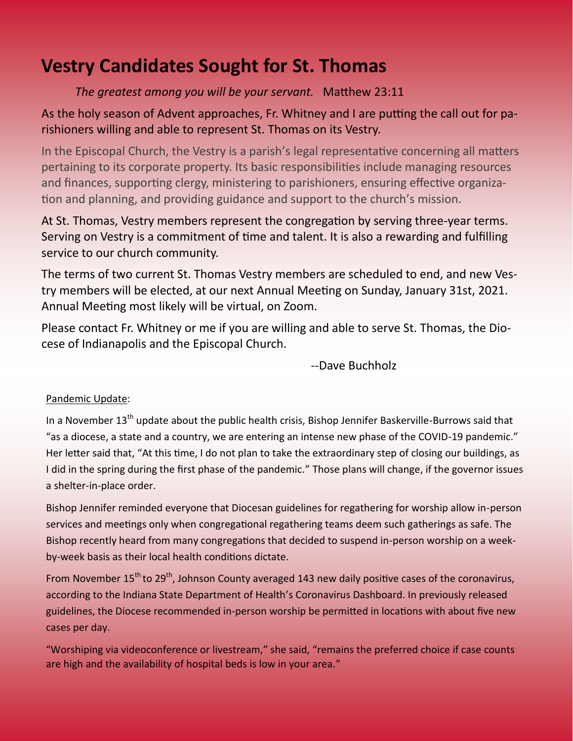# **Vestry Candidates Sought for St. Thomas**

### *The greatest among you will be your servant.* Matthew 23:11

### As the holy season of Advent approaches, Fr. Whitney and I are putting the call out for parishioners willing and able to represent St. Thomas on its Vestry.

In the Episcopal Church, the Vestry is a parish's legal representative concerning all matters pertaining to its corporate property. Its basic responsibilities include managing resources and finances, supporting clergy, ministering to parishioners, ensuring effective organization and planning, and providing guidance and support to the church's mission.

At St. Thomas, Vestry members represent the congregation by serving three-year terms. Serving on Vestry is a commitment of time and talent. It is also a rewarding and fulfilling service to our church community.

The terms of two current St. Thomas Vestry members are scheduled to end, and new Vestry members will be elected, at our next Annual Meeting on Sunday, January 31st, 2021. Annual Meeting most likely will be virtual, on Zoom.

Please contact Fr. Whitney or me if you are willing and able to serve St. Thomas, the Diocese of Indianapolis and the Episcopal Church.

--Dave Buchholz

### Pandemic Update:

In a November 13<sup>th</sup> update about the public health crisis, Bishop Jennifer Baskerville-Burrows said that "as a diocese, a state and a country, we are entering an intense new phase of the COVID-19 pandemic." Her letter said that, "At this time, I do not plan to take the extraordinary step of closing our buildings, as I did in the spring during the first phase of the pandemic." Those plans will change, if the governor issues a shelter-in-place order.

Bishop Jennifer reminded everyone that Diocesan guidelines for regathering for worship allow in-person services and meetings only when congregational regathering teams deem such gatherings as safe. The Bishop recently heard from many congregations that decided to suspend in-person worship on a weekby-week basis as their local health conditions dictate.

From November 15<sup>th</sup> to 29<sup>th</sup>, Johnson County averaged 143 new daily positive cases of the coronavirus, according to the Indiana State Department of Health's Coronavirus Dashboard. In previously released guidelines, the Diocese recommended in-person worship be permitted in locations with about five new cases per day.

"Worshiping via videoconference or livestream," she said, "remains the preferred choice if case counts are high and the availability of hospital beds is low in your area."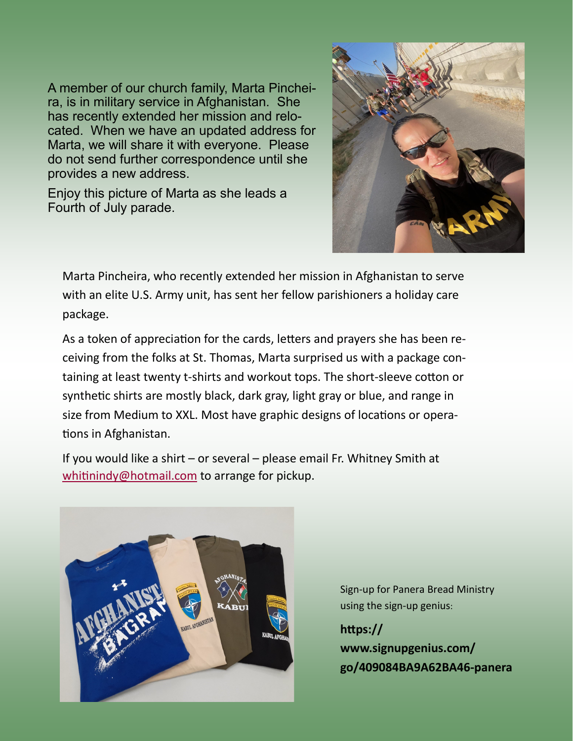A member of our church family, Marta Pincheira, is in military service in Afghanistan. She has recently extended her mission and relocated. When we have an updated address for Marta, we will share it with everyone. Please do not send further correspondence until she provides a new address.

Enjoy this picture of Marta as she leads a Fourth of July parade.



Marta Pincheira, who recently extended her mission in Afghanistan to serve with an elite U.S. Army unit, has sent her fellow parishioners a holiday care package.

As a token of appreciation for the cards, letters and prayers she has been receiving from the folks at St. Thomas, Marta surprised us with a package containing at least twenty t-shirts and workout tops. The short-sleeve cotton or synthetic shirts are mostly black, dark gray, light gray or blue, and range in size from Medium to XXL. Most have graphic designs of locations or operations in Afghanistan.

If you would like a shirt – or several – please email Fr. Whitney Smith at [whitinindy@hotmail.com](mailto:whitinindy@hotmail.com) to arrange for pickup.



Sign-up for Panera Bread Ministry using the sign-up genius:

**https:// www.signupgenius.com/ go/409084BA9A62BA46-panera**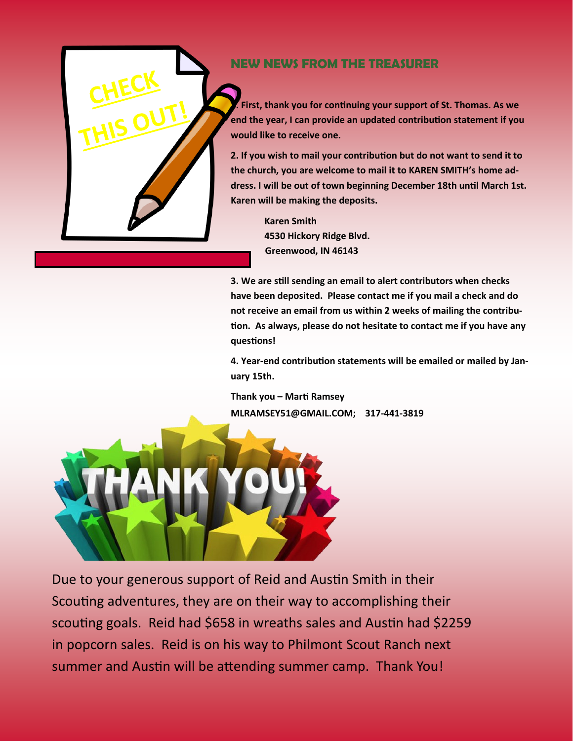

[This Photo](https://commons.wikimedia.org/wiki/File:Note.svg) by Unknown  $\mathcal{L}_\mathcal{D}$  is licensed under [CC BY](https://creativecommons.org/licenses/by-sa/3.0/)-SA  $\mathcal{L}_\mathcal{D}$ 

## **NEW NEWS FROM THE TREASURER**

1**. First, thank you for continuing your support of St. Thomas. As we end the year, I can provide an updated contribution statement if you would like to receive one.** 

**2. If you wish to mail your contribution but do not want to send it to the church, you are welcome to mail it to KAREN SMITH's home address. I will be out of town beginning December 18th until March 1st. Karen will be making the deposits.** 

> **Karen Smith 4530 Hickory Ridge Blvd. Greenwood, IN 46143**

**3. We are still sending an email to alert contributors when checks have been deposited. Please contact me if you mail a check and do not receive an email from us within 2 weeks of mailing the contribution. As always, please do not hesitate to contact me if you have any questions!**

**4. Year-end contribution statements will be emailed or mailed by January 15th.**

**Thank you – Marti Ramsey MLRAMSEY51@GMAIL.COM; 317-441-3819**



Due to your generous support of Reid and Austin Smith in their Scouting adventures, they are on their way to accomplishing their scouting goals. Reid had \$658 in wreaths sales and Austin had \$2259 in popcorn sales. Reid is on his way to Philmont Scout Ranch next summer and Austin will be attending summer camp. Thank You!